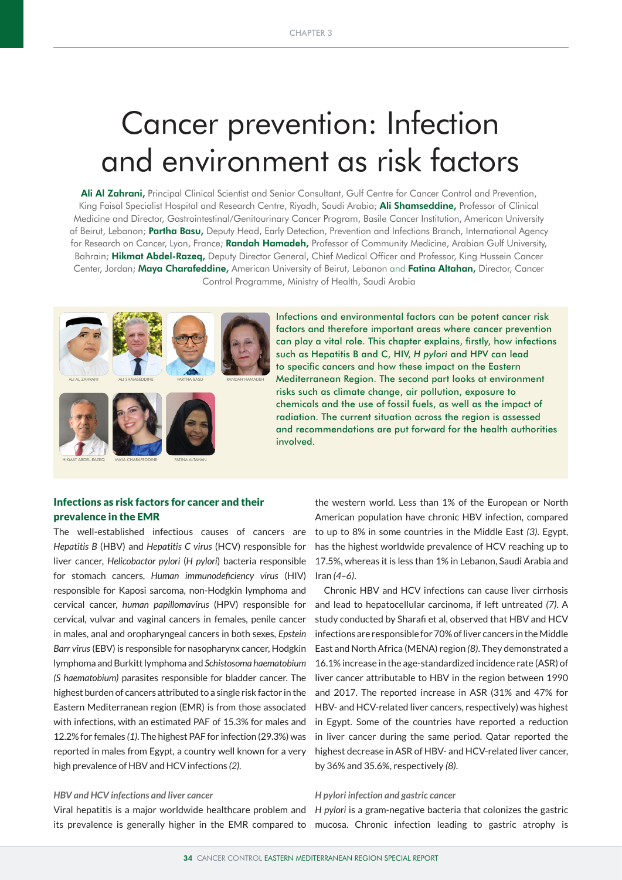# Cancer prevention: Infection and environment as risk factors

Ali Al Zahrani, Principal Clinical Scientist and Senior Consultant, Gulf Centre for Cancer Control and Prevention, King Faisal Specialist Hospital and Research Centre, Riyadh, Saudi Arabia; Ali Shamseddine, Professor of Clinical Medicine and Director, Gastrointestinal/Genitourinary Cancer Program, Basile Cancer Institution, American University of Beirut, Lebanon; Partha Basu, Deputy Head, Early Detection, Prevention and Infections Branch, International Agency for Research on Cancer, Lyon, France; **Randah Hamadeh,** Professor of Community Medicine, Arabian Gulf University, Bahrain; Hikmat Abdel-Razeq, Deputy Director General, Chief Medical Officer and Professor, King Hussein Cancer Center, Jordan; Maya Charafeddine, American University of Beirut, Lebanon and Fatina Altahan, Director, Cancer Control Programme, Ministry of Health, Saudi Arabia



Infections and environmental factors can be potent cancer risk factors and therefore important areas where cancer prevention can play a vital role. This chapter explains, firstly, how infections such as Hepatitis B and C, HIV, *H pylori* and HPV can lead to specific cancers and how these impact on the Eastern Mediterranean Region. The second part looks at environment risks such as climate change, air pollution, exposure to chemicals and the use of fossil fuels, as well as the impact of radiation. The current situation across the region is assessed and recommendations are put forward for the health authorities involved.

# Infections as risk factors for cancer and their prevalence in the EMR

The well-established infectious causes of cancers are *Hepatitis B* (HBV) and *Hepatitis C virus* (HCV) responsible for liver cancer, *Helicobactor pylori* (*H pylori*) bacteria responsible for stomach cancers, *Human immunodeficiency virus* (HIV) responsible for Kaposi sarcoma, non-Hodgkin lymphoma and cervical cancer, *human papillomavirus* (HPV) responsible for cervical, vulvar and vaginal cancers in females, penile cancer in males, anal and oropharyngeal cancers in both sexes, *Epstein Barr virus* (EBV) is responsible for nasopharynx cancer, Hodgkin lymphoma and Burkitt lymphoma and *Schistosoma haematobium (S haematobium)* parasites responsible for bladder cancer. The highest burden of cancers attributed to a single risk factor in the Eastern Mediterranean region (EMR) is from those associated with infections, with an estimated PAF of 15.3% for males and 12.2% for females *(1)*. The highest PAF for infection (29.3%) was reported in males from Egypt, a country well known for a very high prevalence of HBV and HCV infections *(2)*.

## *HBV and HCV infections and liver cancer*

Viral hepatitis is a major worldwide healthcare problem and *H pylori* is a gram-negative bacteria that colonizes the gastric its prevalence is generally higher in the EMR compared to mucosa. Chronic infection leading to gastric atrophy is

the western world. Less than 1% of the European or North American population have chronic HBV infection, compared to up to 8% in some countries in the Middle East *(3)*. Egypt, has the highest worldwide prevalence of HCV reaching up to 17.5%, whereas it is less than 1% in Lebanon, Saudi Arabia and Iran *(4–6)*.

Chronic HBV and HCV infections can cause liver cirrhosis and lead to hepatocellular carcinoma, if left untreated *(7)*. A study conducted by Sharafi et al, observed that HBV and HCV infections are responsible for 70% of liver cancers in the Middle East and North Africa (MENA) region *(8)*. They demonstrated a 16.1% increase in the age-standardized incidence rate (ASR) of liver cancer attributable to HBV in the region between 1990 and 2017. The reported increase in ASR (31% and 47% for HBV- and HCV-related liver cancers, respectively) was highest in Egypt. Some of the countries have reported a reduction in liver cancer during the same period. Qatar reported the highest decrease in ASR of HBV- and HCV-related liver cancer, by 36% and 35.6%, respectively *(8)*.

## *H pylori infection and gastric cancer*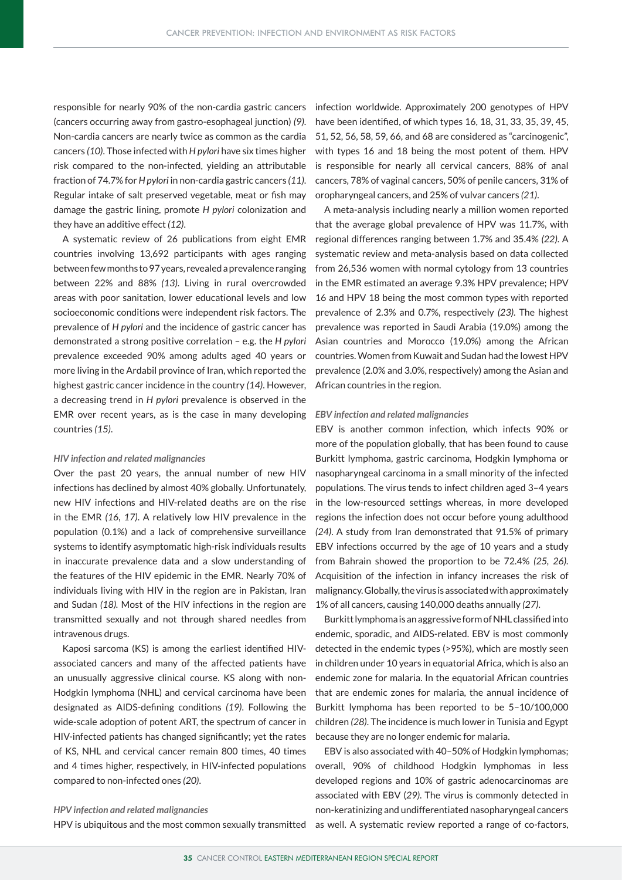responsible for nearly 90% of the non-cardia gastric cancers (cancers occurring away from gastro-esophageal junction) *(9)*. Non-cardia cancers are nearly twice as common as the cardia cancers *(10)*. Those infected with *H pylori* have six times higher risk compared to the non-infected, yielding an attributable fraction of 74.7% for *H pylori* in non-cardia gastric cancers *(11)*. Regular intake of salt preserved vegetable, meat or fish may damage the gastric lining, promote *H pylori* colonization and they have an additive effect *(12)*.

A systematic review of 26 publications from eight EMR countries involving 13,692 participants with ages ranging between few months to 97 years, revealed a prevalence ranging between 22% and 88% *(13)*. Living in rural overcrowded areas with poor sanitation, lower educational levels and low socioeconomic conditions were independent risk factors. The prevalence of *H pylori* and the incidence of gastric cancer has demonstrated a strong positive correlation – e.g. the *H pylori*  prevalence exceeded 90% among adults aged 40 years or more living in the Ardabil province of Iran, which reported the highest gastric cancer incidence in the country *(14)*. However, a decreasing trend in *H pylori* prevalence is observed in the EMR over recent years, as is the case in many developing countries *(15)*.

#### *HIV infection and related malignancies*

Over the past 20 years, the annual number of new HIV infections has declined by almost 40% globally. Unfortunately, new HIV infections and HIV-related deaths are on the rise in the EMR *(16, 17)*. A relatively low HIV prevalence in the population (0.1%) and a lack of comprehensive surveillance systems to identify asymptomatic high-risk individuals results in inaccurate prevalence data and a slow understanding of the features of the HIV epidemic in the EMR. Nearly 70% of individuals living with HIV in the region are in Pakistan, Iran and Sudan *(18).* Most of the HIV infections in the region are transmitted sexually and not through shared needles from intravenous drugs.

Kaposi sarcoma (KS) is among the earliest identified HIVassociated cancers and many of the affected patients have an unusually aggressive clinical course. KS along with non-Hodgkin lymphoma (NHL) and cervical carcinoma have been designated as AIDS-defining conditions *(19)*. Following the wide-scale adoption of potent ART, the spectrum of cancer in HIV-infected patients has changed significantly; yet the rates of KS, NHL and cervical cancer remain 800 times, 40 times and 4 times higher, respectively, in HIV-infected populations compared to non-infected ones *(20)*.

#### *HPV infection and related malignancies*

HPV is ubiquitous and the most common sexually transmitted

infection worldwide. Approximately 200 genotypes of HPV have been identified, of which types 16, 18, 31, 33, 35, 39, 45, 51, 52, 56, 58, 59, 66, and 68 are considered as "carcinogenic", with types 16 and 18 being the most potent of them. HPV is responsible for nearly all cervical cancers, 88% of anal cancers, 78% of vaginal cancers, 50% of penile cancers, 31% of oropharyngeal cancers, and 25% of vulvar cancers *(21)*.

A meta-analysis including nearly a million women reported that the average global prevalence of HPV was 11.7%, with regional differences ranging between 1.7% and 35.4% *(22)*. A systematic review and meta-analysis based on data collected from 26,536 women with normal cytology from 13 countries in the EMR estimated an average 9.3% HPV prevalence; HPV 16 and HPV 18 being the most common types with reported prevalence of 2.3% and 0.7%, respectively *(23)*. The highest prevalence was reported in Saudi Arabia (19.0%) among the Asian countries and Morocco (19.0%) among the African countries. Women from Kuwait and Sudan had the lowest HPV prevalence (2.0% and 3.0%, respectively) among the Asian and African countries in the region.

#### *EBV infection and related malignancies*

EBV is another common infection, which infects 90% or more of the population globally, that has been found to cause Burkitt lymphoma, gastric carcinoma, Hodgkin lymphoma or nasopharyngeal carcinoma in a small minority of the infected populations. The virus tends to infect children aged 3–4 years in the low-resourced settings whereas, in more developed regions the infection does not occur before young adulthood *(24)*. A study from Iran demonstrated that 91.5% of primary EBV infections occurred by the age of 10 years and a study from Bahrain showed the proportion to be 72.4% *(25, 26).*  Acquisition of the infection in infancy increases the risk of malignancy. Globally, the virus is associated with approximately 1% of all cancers, causing 140,000 deaths annually *(27)*.

Burkitt lymphoma is an aggressive form of NHL classified into endemic, sporadic, and AIDS-related. EBV is most commonly detected in the endemic types (>95%), which are mostly seen in children under 10 years in equatorial Africa, which is also an endemic zone for malaria. In the equatorial African countries that are endemic zones for malaria, the annual incidence of Burkitt lymphoma has been reported to be 5–10/100,000 children *(28)*. The incidence is much lower in Tunisia and Egypt because they are no longer endemic for malaria.

EBV is also associated with 40–50% of Hodgkin lymphomas; overall, 90% of childhood Hodgkin lymphomas in less developed regions and 10% of gastric adenocarcinomas are associated with EBV (*29)*. The virus is commonly detected in non-keratinizing and undifferentiated nasopharyngeal cancers as well. A systematic review reported a range of co-factors,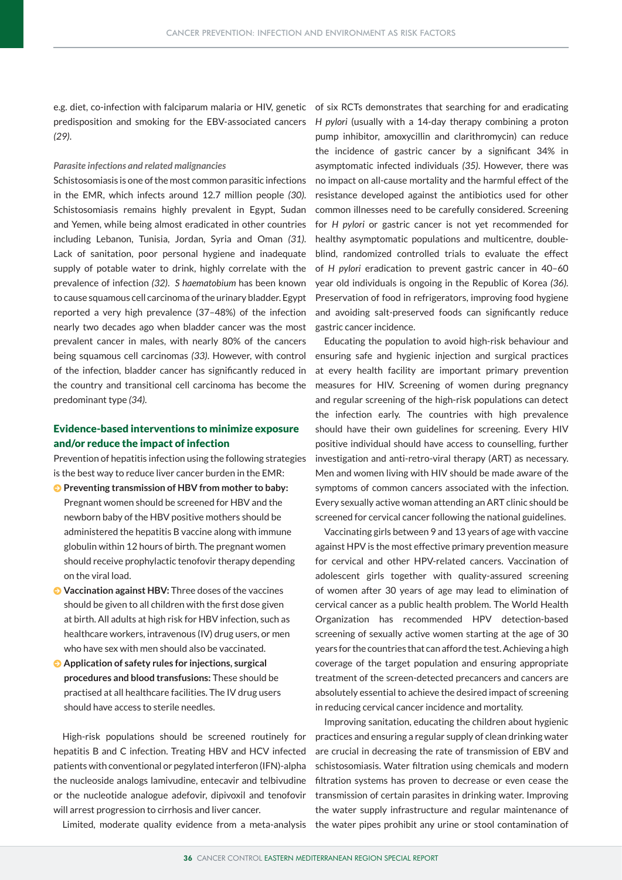predisposition and smoking for the EBV-associated cancers H pylori (usually with a 14-day therapy combining a proton *(29)*.

#### *Parasite infections and related malignancies*

Schistosomiasis is one of the most common parasitic infections in the EMR, which infects around 12.7 million people *(30)*. Schistosomiasis remains highly prevalent in Egypt, Sudan and Yemen, while being almost eradicated in other countries including Lebanon, Tunisia, Jordan, Syria and Oman *(31)*. Lack of sanitation, poor personal hygiene and inadequate supply of potable water to drink, highly correlate with the prevalence of infection *(32)*. *S haematobium* has been known to cause squamous cell carcinoma of the urinary bladder. Egypt reported a very high prevalence (37–48%) of the infection nearly two decades ago when bladder cancer was the most prevalent cancer in males, with nearly 80% of the cancers being squamous cell carcinomas *(33)*. However, with control of the infection, bladder cancer has significantly reduced in the country and transitional cell carcinoma has become the predominant type *(34)*.

# Evidence-based interventions to minimize exposure and/or reduce the impact of infection

Prevention of hepatitis infection using the following strategies is the best way to reduce liver cancer burden in the EMR:

- **Preventing transmission of HBV from mother to baby:** Pregnant women should be screened for HBV and the newborn baby of the HBV positive mothers should be administered the hepatitis B vaccine along with immune globulin within 12 hours of birth. The pregnant women should receive prophylactic tenofovir therapy depending on the viral load.
- **J** Vaccination against HBV: Three doses of the vaccines should be given to all children with the first dose given at birth. All adults at high risk for HBV infection, such as healthcare workers, intravenous (IV) drug users, or men who have sex with men should also be vaccinated.
- $\bullet$  Application of safety rules for injections, surgical **procedures and blood transfusions:** These should be practised at all healthcare facilities. The IV drug users should have access to sterile needles.

High-risk populations should be screened routinely for hepatitis B and C infection. Treating HBV and HCV infected patients with conventional or pegylated interferon (IFN)-alpha the nucleoside analogs lamivudine, entecavir and telbivudine or the nucleotide analogue adefovir, dipivoxil and tenofovir will arrest progression to cirrhosis and liver cancer.

e.g. diet, co-infection with falciparum malaria or HIV, genetic of six RCTs demonstrates that searching for and eradicating pump inhibitor, amoxycillin and clarithromycin) can reduce the incidence of gastric cancer by a significant 34% in asymptomatic infected individuals *(35)*. However, there was no impact on all-cause mortality and the harmful effect of the resistance developed against the antibiotics used for other common illnesses need to be carefully considered. Screening for *H pylori* or gastric cancer is not yet recommended for healthy asymptomatic populations and multicentre, doubleblind, randomized controlled trials to evaluate the effect of *H pylori* eradication to prevent gastric cancer in 40–60 year old individuals is ongoing in the Republic of Korea *(36).* Preservation of food in refrigerators, improving food hygiene and avoiding salt-preserved foods can significantly reduce gastric cancer incidence.

> Educating the population to avoid high-risk behaviour and ensuring safe and hygienic injection and surgical practices at every health facility are important primary prevention measures for HIV. Screening of women during pregnancy and regular screening of the high-risk populations can detect the infection early. The countries with high prevalence should have their own guidelines for screening. Every HIV positive individual should have access to counselling, further investigation and anti-retro-viral therapy (ART) as necessary. Men and women living with HIV should be made aware of the symptoms of common cancers associated with the infection. Every sexually active woman attending an ART clinic should be screened for cervical cancer following the national guidelines.

> Vaccinating girls between 9 and 13 years of age with vaccine against HPV is the most effective primary prevention measure for cervical and other HPV-related cancers. Vaccination of adolescent girls together with quality-assured screening of women after 30 years of age may lead to elimination of cervical cancer as a public health problem. The World Health Organization has recommended HPV detection-based screening of sexually active women starting at the age of 30 years for the countries that can afford the test. Achieving a high coverage of the target population and ensuring appropriate treatment of the screen-detected precancers and cancers are absolutely essential to achieve the desired impact of screening in reducing cervical cancer incidence and mortality.

Improving sanitation, educating the children about hygienic practices and ensuring a regular supply of clean drinking water are crucial in decreasing the rate of transmission of EBV and schistosomiasis. Water filtration using chemicals and modern filtration systems has proven to decrease or even cease the transmission of certain parasites in drinking water. Improving the water supply infrastructure and regular maintenance of Limited, moderate quality evidence from a meta-analysis the water pipes prohibit any urine or stool contamination of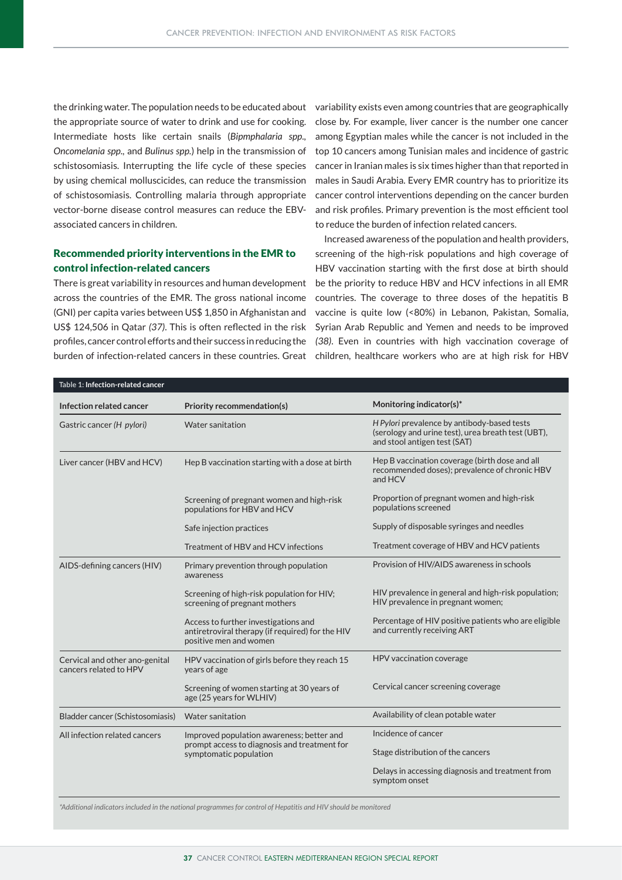the drinking water. The population needs to be educated about variability exists even among countries that are geographically the appropriate source of water to drink and use for cooking. Intermediate hosts like certain snails (*Bipmphalaria spp., Oncomelania spp.,* and *Bulinus spp.*) help in the transmission of schistosomiasis. Interrupting the life cycle of these species by using chemical molluscicides, can reduce the transmission of schistosomiasis. Controlling malaria through appropriate vector-borne disease control measures can reduce the EBVassociated cancers in children.

# Recommended priority interventions in the EMR to control infection-related cancers

There is great variability in resources and human development across the countries of the EMR. The gross national income (GNI) per capita varies between US\$ 1,850 in Afghanistan and US\$ 124,506 in Qatar *(37)*. This is often reflected in the risk profiles, cancer control efforts and their success in reducing the close by. For example, liver cancer is the number one cancer among Egyptian males while the cancer is not included in the top 10 cancers among Tunisian males and incidence of gastric cancer in Iranian males is six times higher than that reported in males in Saudi Arabia. Every EMR country has to prioritize its cancer control interventions depending on the cancer burden and risk profiles. Primary prevention is the most efficient tool to reduce the burden of infection related cancers.

Increased awareness of the population and health providers, screening of the high-risk populations and high coverage of HBV vaccination starting with the first dose at birth should be the priority to reduce HBV and HCV infections in all EMR countries. The coverage to three doses of the hepatitis B vaccine is quite low (<80%) in Lebanon, Pakistan, Somalia, Syrian Arab Republic and Yemen and needs to be improved *(38)*. Even in countries with high vaccination coverage of burden of infection-related cancers in these countries. Great children, healthcare workers who are at high risk for HBV

| Infection related cancer                                 | <b>Priority recommendation(s)</b>                                                                                  | Monitoring indicator(s)*                                                                                                          |  |  |  |  |
|----------------------------------------------------------|--------------------------------------------------------------------------------------------------------------------|-----------------------------------------------------------------------------------------------------------------------------------|--|--|--|--|
| Gastric cancer (H pylori)                                | Water sanitation                                                                                                   | H Pylori prevalence by antibody-based tests<br>(serology and urine test), urea breath test (UBT),<br>and stool antigen test (SAT) |  |  |  |  |
| Liver cancer (HBV and HCV)                               | Hep B vaccination starting with a dose at birth                                                                    | Hep B vaccination coverage (birth dose and all<br>recommended doses); prevalence of chronic HBV<br>and HCV                        |  |  |  |  |
|                                                          | Screening of pregnant women and high-risk<br>populations for HBV and HCV                                           | Proportion of pregnant women and high-risk<br>populations screened                                                                |  |  |  |  |
|                                                          | Safe injection practices                                                                                           | Supply of disposable syringes and needles                                                                                         |  |  |  |  |
|                                                          | Treatment of HBV and HCV infections                                                                                | Treatment coverage of HBV and HCV patients                                                                                        |  |  |  |  |
| AIDS-defining cancers (HIV)                              | Primary prevention through population<br>awareness                                                                 | Provision of HIV/AIDS awareness in schools                                                                                        |  |  |  |  |
|                                                          | Screening of high-risk population for HIV;<br>screening of pregnant mothers                                        | HIV prevalence in general and high-risk population;<br>HIV prevalence in pregnant women;                                          |  |  |  |  |
|                                                          | Access to further investigations and<br>antiretroviral therapy (if required) for the HIV<br>positive men and women | Percentage of HIV positive patients who are eligible<br>and currently receiving ART                                               |  |  |  |  |
| Cervical and other ano-genital<br>cancers related to HPV | HPV vaccination of girls before they reach 15<br>years of age                                                      | HPV vaccination coverage                                                                                                          |  |  |  |  |
|                                                          | Screening of women starting at 30 years of<br>age (25 years for WLHIV)                                             | Cervical cancer screening coverage                                                                                                |  |  |  |  |
| Bladder cancer (Schistosomiasis)                         | Water sanitation                                                                                                   | Availability of clean potable water                                                                                               |  |  |  |  |
| All infection related cancers                            | Improved population awareness; better and                                                                          | Incidence of cancer                                                                                                               |  |  |  |  |
|                                                          | prompt access to diagnosis and treatment for<br>symptomatic population                                             | Stage distribution of the cancers                                                                                                 |  |  |  |  |
|                                                          |                                                                                                                    | Delays in accessing diagnosis and treatment from<br>symptom onset                                                                 |  |  |  |  |

*\*Additional indicators included in the national programmes for control of Hepatitis and HIV should be monitored*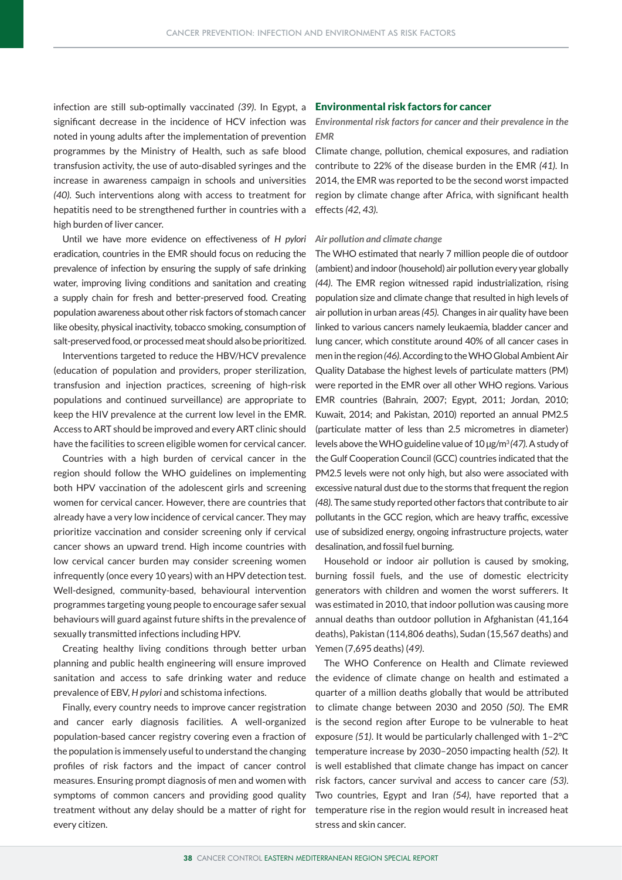infection are still sub-optimally vaccinated *(39)*. In Egypt, a significant decrease in the incidence of HCV infection was noted in young adults after the implementation of prevention programmes by the Ministry of Health, such as safe blood transfusion activity, the use of auto-disabled syringes and the increase in awareness campaign in schools and universities *(40).* Such interventions along with access to treatment for hepatitis need to be strengthened further in countries with a high burden of liver cancer.

Until we have more evidence on effectiveness of *H pylori*  eradication, countries in the EMR should focus on reducing the prevalence of infection by ensuring the supply of safe drinking water, improving living conditions and sanitation and creating a supply chain for fresh and better-preserved food. Creating population awareness about other risk factors of stomach cancer like obesity, physical inactivity, tobacco smoking, consumption of salt-preserved food, or processed meat should also be prioritized.

Interventions targeted to reduce the HBV/HCV prevalence (education of population and providers, proper sterilization, transfusion and injection practices, screening of high-risk populations and continued surveillance) are appropriate to keep the HIV prevalence at the current low level in the EMR. Access to ART should be improved and every ART clinic should have the facilities to screen eligible women for cervical cancer.

Countries with a high burden of cervical cancer in the region should follow the WHO guidelines on implementing both HPV vaccination of the adolescent girls and screening women for cervical cancer. However, there are countries that already have a very low incidence of cervical cancer. They may prioritize vaccination and consider screening only if cervical cancer shows an upward trend. High income countries with low cervical cancer burden may consider screening women infrequently (once every 10 years) with an HPV detection test. Well-designed, community-based, behavioural intervention programmes targeting young people to encourage safer sexual behaviours will guard against future shifts in the prevalence of sexually transmitted infections including HPV.

Creating healthy living conditions through better urban planning and public health engineering will ensure improved sanitation and access to safe drinking water and reduce prevalence of EBV, *H pylori* and schistoma infections.

Finally, every country needs to improve cancer registration and cancer early diagnosis facilities. A well-organized population-based cancer registry covering even a fraction of the population is immensely useful to understand the changing profiles of risk factors and the impact of cancer control measures. Ensuring prompt diagnosis of men and women with symptoms of common cancers and providing good quality treatment without any delay should be a matter of right for every citizen.

## Environmental risk factors for cancer

*Environmental risk factors for cancer and their prevalence in the EMR*

Climate change, pollution, chemical exposures, and radiation contribute to 22% of the disease burden in the EMR *(41).* In 2014, the EMR was reported to be the second worst impacted region by climate change after Africa, with significant health effects *(42, 43).*

#### *Air pollution and climate change*

The WHO estimated that nearly 7 million people die of outdoor (ambient) and indoor (household) air pollution every year globally *(44)*. The EMR region witnessed rapid industrialization, rising population size and climate change that resulted in high levels of air pollution in urban areas *(45)*. Changes in air quality have been linked to various cancers namely leukaemia, bladder cancer and lung cancer, which constitute around 40% of all cancer cases in men in the region *(46)*. According to the WHO Global Ambient Air Quality Database the highest levels of particulate matters (PM) were reported in the EMR over all other WHO regions. Various EMR countries (Bahrain, 2007; Egypt, 2011; Jordan, 2010; Kuwait, 2014; and Pakistan, 2010) reported an annual PM2.5 (particulate matter of less than 2.5 micrometres in diameter) levels above the WHO guideline value of 10 μg/m3 *(47).* A study of the Gulf Cooperation Council (GCC) countries indicated that the PM2.5 levels were not only high, but also were associated with excessive natural dust due to the storms that frequent the region *(48).* The same study reported other factors that contribute to air pollutants in the GCC region, which are heavy traffic, excessive use of subsidized energy, ongoing infrastructure projects, water desalination, and fossil fuel burning.

Household or indoor air pollution is caused by smoking, burning fossil fuels, and the use of domestic electricity generators with children and women the worst sufferers. It was estimated in 2010, that indoor pollution was causing more annual deaths than outdoor pollution in Afghanistan (41,164 deaths), Pakistan (114,806 deaths), Sudan (15,567 deaths) and Yemen (7,695 deaths) (*49)*.

The WHO Conference on Health and Climate reviewed the evidence of climate change on health and estimated a quarter of a million deaths globally that would be attributed to climate change between 2030 and 2050 *(50)*. The EMR is the second region after Europe to be vulnerable to heat exposure *(51)*. It would be particularly challenged with 1–2°C temperature increase by 2030–2050 impacting health *(52).* It is well established that climate change has impact on cancer risk factors, cancer survival and access to cancer care *(53)*. Two countries, Egypt and Iran *(54)*, have reported that a temperature rise in the region would result in increased heat stress and skin cancer.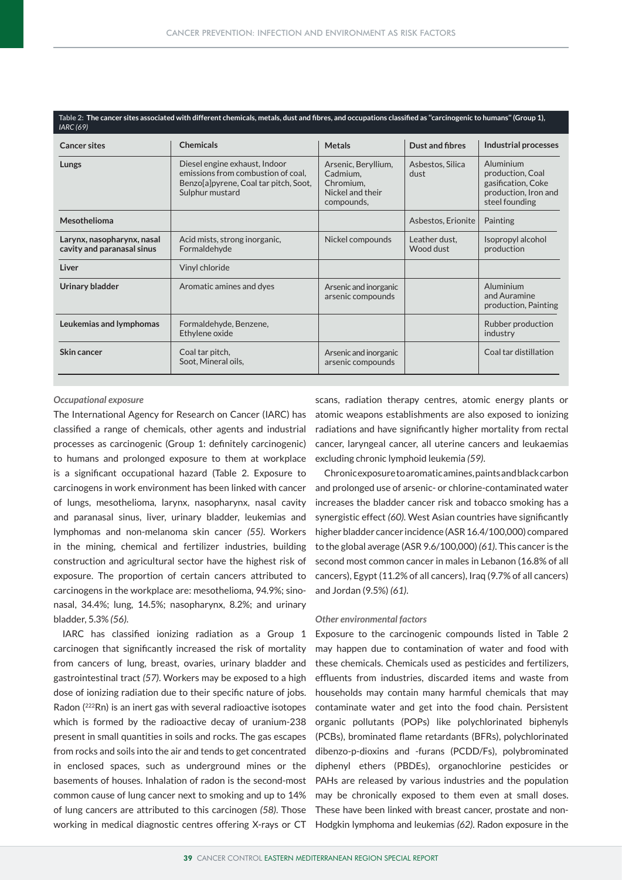| Table 2: The cancer sites associated with different chemicals, metals, dust and fibres, and occupations classified as "carcinogenic to humans" (Group 1),<br>IARC (69) |                                                                                                                                 |                                                                                |                            |                                                                                               |  |  |  |  |  |
|------------------------------------------------------------------------------------------------------------------------------------------------------------------------|---------------------------------------------------------------------------------------------------------------------------------|--------------------------------------------------------------------------------|----------------------------|-----------------------------------------------------------------------------------------------|--|--|--|--|--|
| <b>Cancer sites</b>                                                                                                                                                    | <b>Chemicals</b>                                                                                                                | <b>Metals</b>                                                                  | <b>Dust and fibres</b>     | Industrial processes                                                                          |  |  |  |  |  |
| Lungs                                                                                                                                                                  | Diesel engine exhaust, Indoor<br>emissions from combustion of coal,<br>Benzo[a]pyrene, Coal tar pitch, Soot,<br>Sulphur mustard | Arsenic, Beryllium,<br>Cadmium,<br>Chromium,<br>Nickel and their<br>compounds, | Asbestos, Silica<br>dust   | Aluminium<br>production, Coal<br>gasification, Coke<br>production, Iron and<br>steel founding |  |  |  |  |  |
| Mesothelioma                                                                                                                                                           |                                                                                                                                 |                                                                                | Asbestos, Erionite         | Painting                                                                                      |  |  |  |  |  |
| Larynx, nasopharynx, nasal<br>cavity and paranasal sinus                                                                                                               | Acid mists, strong inorganic,<br>Formaldehyde                                                                                   | Nickel compounds                                                               | Leather dust,<br>Wood dust | Isopropyl alcohol<br>production                                                               |  |  |  |  |  |
| Liver                                                                                                                                                                  | Vinyl chloride                                                                                                                  |                                                                                |                            |                                                                                               |  |  |  |  |  |
| Urinary bladder                                                                                                                                                        | Aromatic amines and dyes                                                                                                        | Arsenic and inorganic<br>arsenic compounds                                     |                            | Aluminium<br>and Auramine<br>production, Painting                                             |  |  |  |  |  |
| Leukemias and lymphomas                                                                                                                                                | Formaldehyde, Benzene,<br>Ethylene oxide                                                                                        |                                                                                |                            | Rubber production<br>industry                                                                 |  |  |  |  |  |
| Skin cancer                                                                                                                                                            | Coal tar pitch,<br>Soot, Mineral oils,                                                                                          | Arsenic and inorganic<br>arsenic compounds                                     |                            | Coal tar distillation                                                                         |  |  |  |  |  |

#### *Occupational exposure*

The International Agency for Research on Cancer (IARC) has classified a range of chemicals, other agents and industrial processes as carcinogenic (Group 1: definitely carcinogenic) to humans and prolonged exposure to them at workplace is a significant occupational hazard (Table 2. Exposure to carcinogens in work environment has been linked with cancer of lungs, mesothelioma, larynx, nasopharynx, nasal cavity and paranasal sinus, liver, urinary bladder, leukemias and lymphomas and non-melanoma skin cancer *(55)*. Workers in the mining, chemical and fertilizer industries, building construction and agricultural sector have the highest risk of exposure. The proportion of certain cancers attributed to carcinogens in the workplace are: mesothelioma, 94.9%; sinonasal, 34.4%; lung, 14.5%; nasopharynx, 8.2%; and urinary bladder, 5.3% *(56)*.

working in medical diagnostic centres offering X-rays or CT Hodgkin lymphoma and leukemias (62). Radon exposure in the IARC has classified ionizing radiation as a Group 1 carcinogen that significantly increased the risk of mortality from cancers of lung, breast, ovaries, urinary bladder and gastrointestinal tract *(57)*. Workers may be exposed to a high dose of ionizing radiation due to their specific nature of jobs. Radon (222Rn) is an inert gas with several radioactive isotopes which is formed by the radioactive decay of uranium-238 present in small quantities in soils and rocks. The gas escapes from rocks and soils into the air and tends to get concentrated in enclosed spaces, such as underground mines or the basements of houses. Inhalation of radon is the second-most common cause of lung cancer next to smoking and up to 14% of lung cancers are attributed to this carcinogen *(58)*. Those

scans, radiation therapy centres, atomic energy plants or atomic weapons establishments are also exposed to ionizing radiations and have significantly higher mortality from rectal cancer, laryngeal cancer, all uterine cancers and leukaemias excluding chronic lymphoid leukemia *(59)*.

Chronic exposure to aromatic amines, paints and black carbon and prolonged use of arsenic- or chlorine-contaminated water increases the bladder cancer risk and tobacco smoking has a synergistic effect *(60).* West Asian countries have significantly higher bladder cancer incidence (ASR 16.4/100,000) compared to the global average (ASR 9.6/100,000) *(61)*. This cancer is the second most common cancer in males in Lebanon (16.8% of all cancers), Egypt (11.2% of all cancers), Iraq (9.7% of all cancers) and Jordan (9.5%) *(61)*.

#### *Other environmental factors*

Exposure to the carcinogenic compounds listed in Table 2 may happen due to contamination of water and food with these chemicals. Chemicals used as pesticides and fertilizers, effluents from industries, discarded items and waste from households may contain many harmful chemicals that may contaminate water and get into the food chain. Persistent organic pollutants (POPs) like polychlorinated biphenyls (PCBs), brominated flame retardants (BFRs), polychlorinated dibenzo-p-dioxins and -furans (PCDD/Fs), polybrominated diphenyl ethers (PBDEs), organochlorine pesticides or PAHs are released by various industries and the population may be chronically exposed to them even at small doses. These have been linked with breast cancer, prostate and non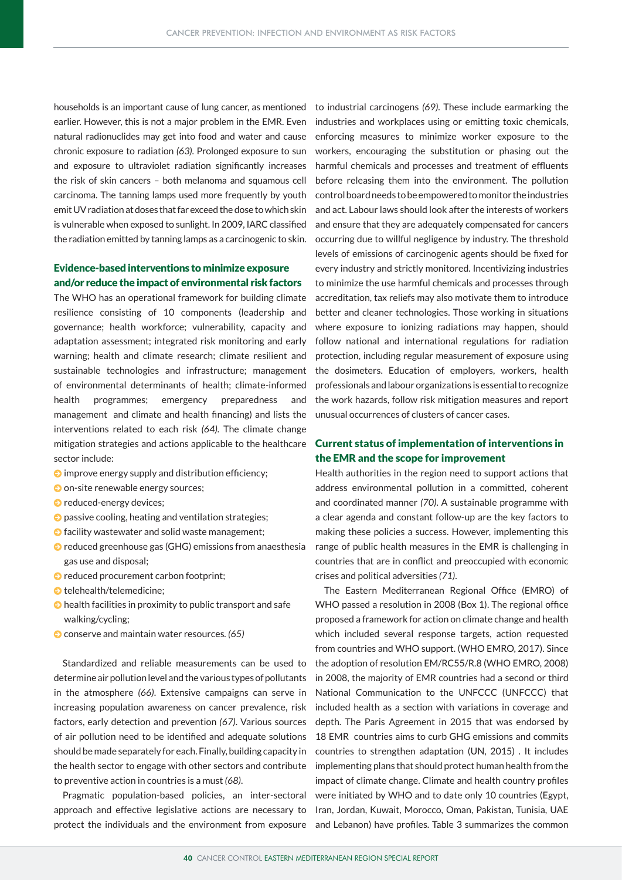households is an important cause of lung cancer, as mentioned earlier. However, this is not a major problem in the EMR. Even natural radionuclides may get into food and water and cause chronic exposure to radiation *(63)*. Prolonged exposure to sun and exposure to ultraviolet radiation significantly increases the risk of skin cancers – both melanoma and squamous cell carcinoma. The tanning lamps used more frequently by youth emit UV radiation at doses that far exceed the dose to which skin is vulnerable when exposed to sunlight. In 2009, IARC classified the radiation emitted by tanning lamps as a carcinogenic to skin.

## Evidence-based interventions to minimize exposure and/or reduce the impact of environmental risk factors

The WHO has an operational framework for building climate resilience consisting of 10 components (leadership and governance; health workforce; vulnerability, capacity and adaptation assessment; integrated risk monitoring and early warning; health and climate research; climate resilient and sustainable technologies and infrastructure; management of environmental determinants of health; climate-informed health programmes; emergency preparedness and management and climate and health financing) and lists the interventions related to each risk *(64).* The climate change mitigation strategies and actions applicable to the healthcare sector include:

- $\bullet$  improve energy supply and distribution efficiency;
- **D** on-site renewable energy sources;
- **O** reduced-energy devices;
- $\bullet$  passive cooling, heating and ventilation strategies;
- $\bullet$  facility wastewater and solid waste management;
- $\odot$  reduced greenhouse gas (GHG) emissions from anaesthesia gas use and disposal;
- $\bullet$  reduced procurement carbon footprint;
- **O** telehealth/telemedicine;
- $\bullet$  health facilities in proximity to public transport and safe walking/cycling;
- $\odot$  conserve and maintain water resources. (65)

Standardized and reliable measurements can be used to determine air pollution level and the various types of pollutants in the atmosphere *(66)*. Extensive campaigns can serve in increasing population awareness on cancer prevalence, risk factors, early detection and prevention *(67)*. Various sources of air pollution need to be identified and adequate solutions should be made separately for each. Finally, building capacity in the health sector to engage with other sectors and contribute to preventive action in countries is a must *(68)*.

Pragmatic population-based policies, an inter-sectoral approach and effective legislative actions are necessary to protect the individuals and the environment from exposure

to industrial carcinogens *(69)*. These include earmarking the industries and workplaces using or emitting toxic chemicals, enforcing measures to minimize worker exposure to the workers, encouraging the substitution or phasing out the harmful chemicals and processes and treatment of effluents before releasing them into the environment. The pollution control board needs to be empowered to monitor the industries and act. Labour laws should look after the interests of workers and ensure that they are adequately compensated for cancers occurring due to willful negligence by industry. The threshold levels of emissions of carcinogenic agents should be fixed for every industry and strictly monitored. Incentivizing industries to minimize the use harmful chemicals and processes through accreditation, tax reliefs may also motivate them to introduce better and cleaner technologies. Those working in situations where exposure to ionizing radiations may happen, should follow national and international regulations for radiation protection, including regular measurement of exposure using the dosimeters. Education of employers, workers, health professionals and labour organizations is essential to recognize the work hazards, follow risk mitigation measures and report unusual occurrences of clusters of cancer cases.

# Current status of implementation of interventions in the EMR and the scope for improvement

Health authorities in the region need to support actions that address environmental pollution in a committed, coherent and coordinated manner *(70)*. A sustainable programme with a clear agenda and constant follow-up are the key factors to making these policies a success. However, implementing this range of public health measures in the EMR is challenging in countries that are in conflict and preoccupied with economic crises and political adversities *(71)*.

The Eastern Mediterranean Regional Office (EMRO) of WHO passed a resolution in 2008 (Box 1). The regional office proposed a framework for action on climate change and health which included several response targets, action requested from countries and WHO support. (WHO EMRO, 2017). Since the adoption of resolution EM/RC55/R.8 (WHO EMRO, 2008) in 2008, the majority of EMR countries had a second or third National Communication to the UNFCCC (UNFCCC) that included health as a section with variations in coverage and depth. The Paris Agreement in 2015 that was endorsed by 18 EMR countries aims to curb GHG emissions and commits countries to strengthen adaptation (UN, 2015) . It includes implementing plans that should protect human health from the impact of climate change. Climate and health country profiles were initiated by WHO and to date only 10 countries (Egypt, Iran, Jordan, Kuwait, Morocco, Oman, Pakistan, Tunisia, UAE and Lebanon) have profiles. Table 3 summarizes the common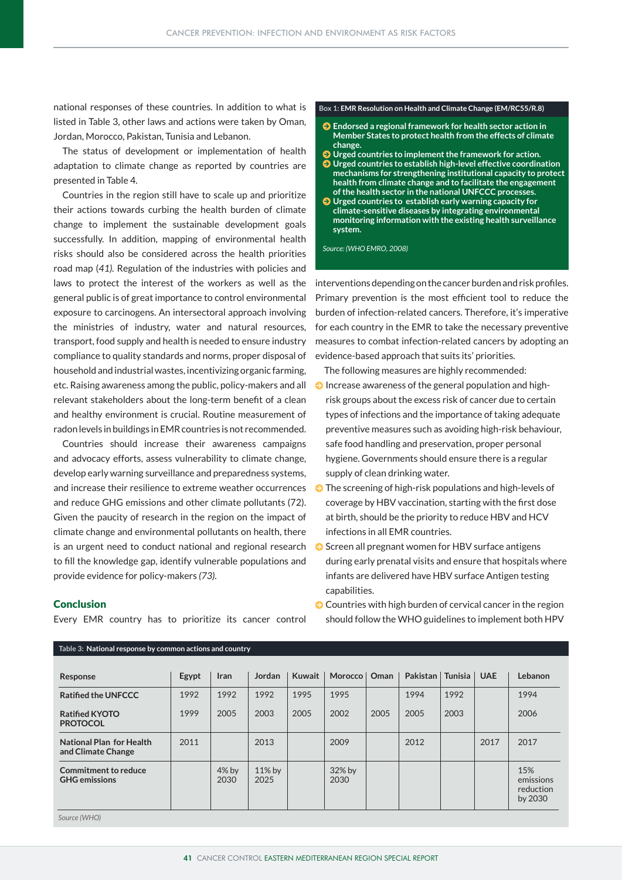national responses of these countries. In addition to what is listed in Table 3, other laws and actions were taken by Oman, Jordan, Morocco, Pakistan, Tunisia and Lebanon.

The status of development or implementation of health adaptation to climate change as reported by countries are presented in Table 4.

Countries in the region still have to scale up and prioritize their actions towards curbing the health burden of climate change to implement the sustainable development goals successfully. In addition, mapping of environmental health risks should also be considered across the health priorities road map (*41).* Regulation of the industries with policies and laws to protect the interest of the workers as well as the general public is of great importance to control environmental exposure to carcinogens. An intersectoral approach involving the ministries of industry, water and natural resources, transport, food supply and health is needed to ensure industry compliance to quality standards and norms, proper disposal of household and industrial wastes, incentivizing organic farming, etc. Raising awareness among the public, policy-makers and all relevant stakeholders about the long-term benefit of a clean and healthy environment is crucial. Routine measurement of radon levels in buildings in EMR countries is not recommended.

Countries should increase their awareness campaigns and advocacy efforts, assess vulnerability to climate change, develop early warning surveillance and preparedness systems, and increase their resilience to extreme weather occurrences and reduce GHG emissions and other climate pollutants (72). Given the paucity of research in the region on the impact of climate change and environmental pollutants on health, there is an urgent need to conduct national and regional research to fill the knowledge gap, identify vulnerable populations and provide evidence for policy-makers *(73).* 

#### **Box 1: EMR Resolution on Health and Climate Change (EM/RC55/R.8)**

- $\bullet$  Endorsed a regional framework for health sector action in **Member States to protect health from the effects of climate change.**
- J **Urged countries to implement the framework for action.**
- J **Urged countries to establish high-level effective coordination mechanisms for strengthening institutional capacity to protect health from climate change and to facilitate the engagement of the health sector in the national UNFCCC processes.**
- $\bullet$  Urged countries to establish early warning capacity for **climate-sensitive diseases by integrating environmental monitoring information with the existing health surveillance system.**

*Source: (WHO EMRO, 2008)*

interventions depending on the cancer burden and risk profiles. Primary prevention is the most efficient tool to reduce the burden of infection-related cancers. Therefore, it's imperative for each country in the EMR to take the necessary preventive measures to combat infection-related cancers by adopting an evidence-based approach that suits its' priorities.

The following measures are highly recommended:

- $\odot$  Increase awareness of the general population and highrisk groups about the excess risk of cancer due to certain types of infections and the importance of taking adequate preventive measures such as avoiding high-risk behaviour, safe food handling and preservation, proper personal hygiene. Governments should ensure there is a regular supply of clean drinking water.
- $\odot$  The screening of high-risk populations and high-levels of coverage by HBV vaccination, starting with the first dose at birth, should be the priority to reduce HBV and HCV infections in all EMR countries.
- $\odot$  Screen all pregnant women for HBV surface antigens during early prenatal visits and ensure that hospitals where infants are delivered have HBV surface Antigen testing capabilities.

 $\bullet$  Countries with high burden of cervical cancer in the region should follow the WHO guidelines to implement both HPV

| Response                                       | Egypt | Iran            | Jordan            | <b>Kuwait</b> | Morocco   Oman |      | Pakistan   Tunisia |      | <b>UAE</b> | Lebanon                                  |
|------------------------------------------------|-------|-----------------|-------------------|---------------|----------------|------|--------------------|------|------------|------------------------------------------|
| <b>Ratified the UNFCCC</b>                     | 1992  | 1992            | 1992              | 1995          | 1995           |      | 1994               | 1992 |            | 1994                                     |
| <b>Ratified KYOTO</b><br><b>PROTOCOL</b>       | 1999  | 2005            | 2003              | 2005          | 2002           | 2005 | 2005               | 2003 |            | 2006                                     |
| National Plan for Health<br>and Climate Change | 2011  |                 | 2013              |               | 2009           |      | 2012               |      | 2017       | 2017                                     |
| Commitment to reduce<br><b>GHG</b> emissions   |       | $4%$ by<br>2030 | $11\%$ by<br>2025 |               | 32% by<br>2030 |      |                    |      |            | 15%<br>emissions<br>reduction<br>by 2030 |
| Source (WHO)                                   |       |                 |                   |               |                |      |                    |      |            |                                          |

## Conclusion

Every EMR country has to prioritize its cancer control

**Table 3: National response by common actions and country**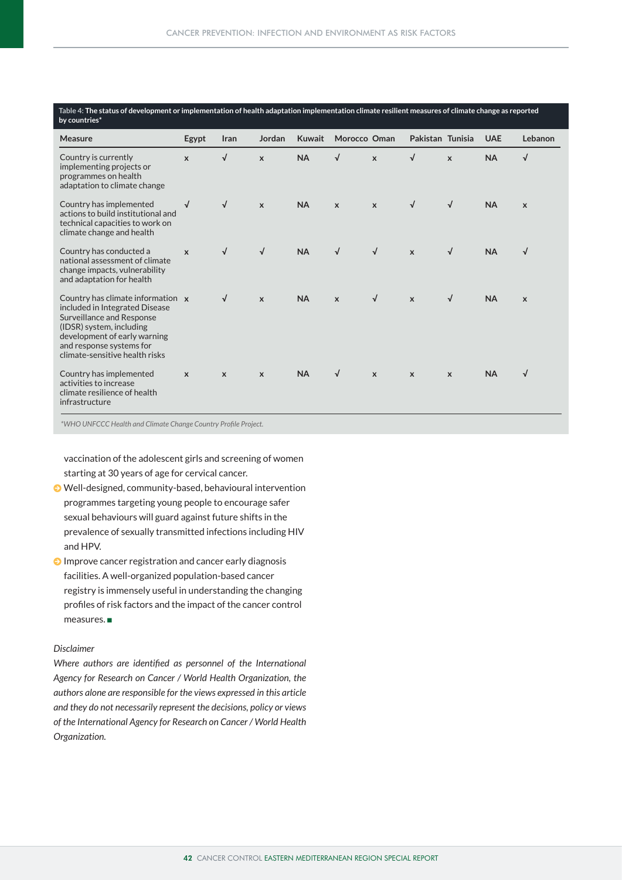| Table 4: The status of development or implementation of health adaptation implementation climate resilient measures of climate change as reported<br>by countries*                                                         |              |                           |                           |               |              |              |                           |              |            |                           |
|----------------------------------------------------------------------------------------------------------------------------------------------------------------------------------------------------------------------------|--------------|---------------------------|---------------------------|---------------|--------------|--------------|---------------------------|--------------|------------|---------------------------|
| <b>Measure</b>                                                                                                                                                                                                             | Egypt        | Iran                      | Jordan                    | <b>Kuwait</b> | Morocco Oman |              | Pakistan Tunisia          |              | <b>UAE</b> | Lebanon                   |
| Country is currently<br>implementing projects or<br>programmes on health<br>adaptation to climate change                                                                                                                   | $\mathbf{x}$ | √                         | $\mathbf{x}$              | <b>NA</b>     | √            | $\mathbf{x}$ | √                         | $\mathbf{x}$ | <b>NA</b>  | $\sqrt{2}$                |
| Country has implemented<br>actions to build institutional and<br>technical capacities to work on<br>climate change and health                                                                                              | $\sqrt{ }$   | $\sqrt{ }$                | $\mathsf{x}$              | <b>NA</b>     | $\mathsf{x}$ | $\mathsf{x}$ | $\sqrt{ }$                | $\sqrt{ }$   | <b>NA</b>  | $\mathsf{x}$              |
| Country has conducted a<br>national assessment of climate<br>change impacts, vulnerability<br>and adaptation for health                                                                                                    | $\mathbf{x}$ | √                         | $\sqrt{}$                 | <b>NA</b>     | $\sqrt{ }$   | $\sqrt{ }$   | $\mathbf{x}$              | $\sqrt{ }$   | <b>NA</b>  | $\sqrt{ }$                |
| Country has climate information x<br>included in Integrated Disease<br>Surveillance and Response<br>(IDSR) system, including<br>development of early warning<br>and response systems for<br>climate-sensitive health risks |              | √                         | $\mathsf{x}$              | <b>NA</b>     | $\mathsf{x}$ | $\sqrt{ }$   | $\mathsf{x}$              | $\sqrt{ }$   | <b>NA</b>  | $\boldsymbol{\mathsf{x}}$ |
| Country has implemented<br>activities to increase<br>climate resilience of health<br>infrastructure                                                                                                                        | $\mathbf{x}$ | $\boldsymbol{\mathsf{x}}$ | $\boldsymbol{\mathsf{x}}$ | <b>NA</b>     | $\sqrt{ }$   | $\mathsf{x}$ | $\boldsymbol{\mathsf{x}}$ | $\mathsf{x}$ | <b>NA</b>  | $\sqrt{ }$                |

*\*WHO UNFCCC Health and Climate Change Country Profile Project.* 

vaccination of the adolescent girls and screening of women starting at 30 years of age for cervical cancer.

- J Well-designed, community-based, behavioural intervention programmes targeting young people to encourage safer sexual behaviours will guard against future shifts in the prevalence of sexually transmitted infections including HIV and HPV.
- $\odot$  Improve cancer registration and cancer early diagnosis facilities. A well-organized population-based cancer registry is immensely useful in understanding the changing profiles of risk factors and the impact of the cancer control  $measures.$

## *Disclaimer*

*Where authors are identified as personnel of the International Agency for Research on Cancer / World Health Organization, the authors alone are responsible for the views expressed in this article and they do not necessarily represent the decisions, policy or views of the International Agency for Research on Cancer / World Health Organization.*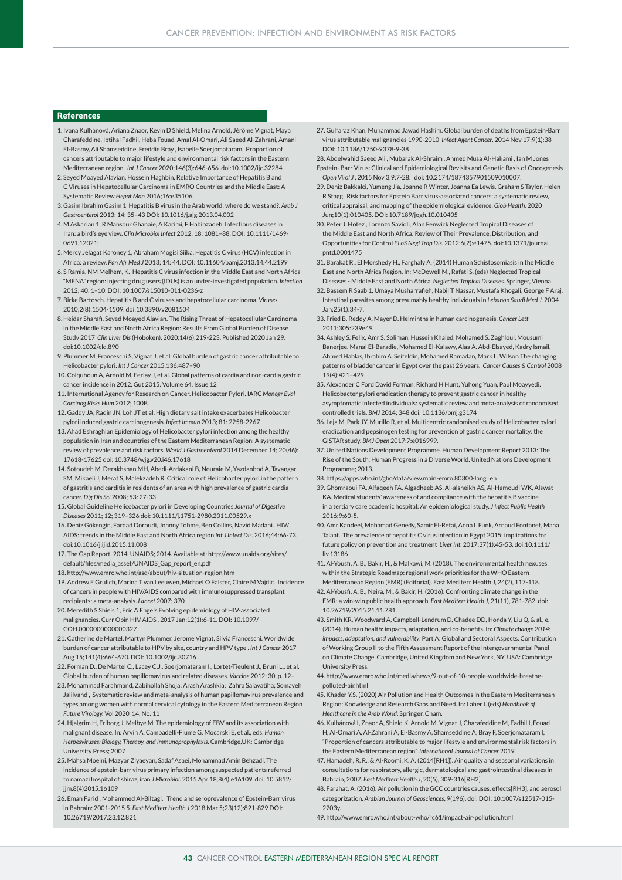#### References

- 1.Ivana Kulhánová, Ariana Znaor, Kevin D Shield, Melina Arnold, Jérôme Vignat, Maya Charafeddine, Ibtihal Fadhil, Heba Fouad, Amal Al-Omari, Ali Saeed Al-Zahrani, Amani El-Basmy, Ali Shamseddine, Freddie Bray , Isabelle Soerjomataram. Proportion of cancers attributable to major lifestyle and environmental risk factors in the Eastern Mediterranean region *Int J Cancer* 2020;146(3):646-656. doi:10.1002/ijc.32284
- 2. Seyed Moayed Alavian, Hossein Haghbin. Relative Importance of Hepatitis B and C Viruses in Hepatocellular Carcinoma in EMRO Countries and the Middle East: A Systematic Review *Hepat Mon* 2016;16:e35106.
- 3. Gasim Ibrahim Gasim 1 Hepatitis B virus in the Arab world: where do we stand?. *Arab J Gastroenterol* 2013; 14: 35–43 DOI: 10.1016/j.ajg.2013.04.002
- 4.M Askarian 1, R Mansour Ghanaie, A Karimi, F Habibzadeh Infectious diseases in Iran: a bird's eye view. *Clin Microbiol Infect* 2012; 18: 1081–88. DOI: 10.1111/1469- 0691.12021;
- 5.Mercy Jelagat Karoney 1, Abraham Mogisi Siika. Hepatitis C virus (HCV) infection in Africa: a review. *Pan Afr Med J* 2013; 14: 44. DOI: 10.11604/pamj.2013.14.44.2199
- 6. S Ramia, NM Melhem, K. Hepatitis C virus infection in the Middle East and North Africa "MENA" region: injecting drug users (IDUs) is an under-investigated population. *Infection* 2012; 40: 1–10. DOI: 10.1007/s15010-011-0236-z
- 7.Birke Bartosch. Hepatitis B and C viruses and hepatocellular carcinoma. *Viruses*. 2010;2(8):1504-1509. doi:10.3390/v2081504
- 8. Heidar Sharafi, Seyed Moayed Alavian. The Rising Threat of Hepatocellular Carcinoma in the Middle East and North Africa Region: Results From Global Burden of Diseas Study 2017 *Clin Liver Dis* (Hoboken). 2020;14(6):219-223. Published 2020 Jan 29. doi:10.1002/cld.890
- 9. Plummer M, Franceschi S, Vignat J, et al. Global burden of gastric cancer attributable to Helicobacter pylori. *Int J Cancer* 2015;136:487–90
- 10. Colquhoun A, Arnold M, Ferlay J, et al. Global patterns of cardia and non-cardia gastric cancer incidence in 2012. Gut 2015. Volume 64, Issue 12
- 11. International Agency for Research on Cancer. Helicobacter Pylori. IARC *Monogr Eval Carcinog Risks Hum* 2012; 100B.
- 12. Gaddy JA, Radin JN, Loh JT et al. High dietary salt intake exacerbates Helicobacter pylori induced gastric carcinogenesis. *Infect Immun* 2013; 81: 2258-2267
- 13. Ahad Eshraghian Epidemiology of Helicobacter pylori infection among the healthy population in Iran and countries of the Eastern Mediterranean Region: A systematic review of prevalence and risk factors. *World J Gastroenterol* 2014 December 14; 20(46): 17618-17625 doi: 10.3748/wjg.v20.i46.17618
- 14. Sotoudeh M, Derakhshan MH, Abedi-Ardakani B, Nouraie M, Yazdanbod A, Tavangar SM, Mikaeli J, Merat S, Malekzadeh R. Critical role of Helicobacter pylori in the pattern of gastritis and carditis in residents of an area with high prevalence of gastric cardia cancer. *Dig Dis Sci* 2008; 53: 27-33
- 15. Global Guideline Helicobacter pylori in Developing Countries *Journal of Digestive Diseases* 2011; 12; 319–326 doi: 10.1111/j.1751-2980.2011.00529.x
- 16. Deniz Gökengin, Fardad Doroudi, Johnny Tohme, Ben Collins, Navid Madani. HIV/ AIDS: trends in the Middle East and North Africa region *Int J Infect Dis*. 2016;44:66-73. doi:10.1016/j.ijid.2015.11.008
- 17. The Gap Report, 2014. UNAIDS; 2014. Available at: http://www.unaids.org/sites/ default/files/media\_asset/UNAIDS\_Gap\_report\_en.pdf
- 18. http://www.emro.who.int/asd/about/hiv-situation-region.htm
- 19. Andrew E Grulich, Marina T van Leeuwen, Michael O Falster, Claire M Vajdic. Incidence of cancers in people with HIV/AIDS compared with immunosuppressed transplant recipients: a meta-analysis. *Lancet* 2007; 370
- 20. Meredith S Shiels 1, Eric A Engels Evolving epidemiology of HIV-associated malignancies. Curr Opin HIV AIDS . 2017 Jan;12(1):6-11. DOI: 10.1097/ COH.0000000000000327
- 21. Catherine de Martel, Martyn Plummer, Jerome Vignat, Silvia Franceschi. Worldwide burden of cancer attributable to HPV by site, country and HPV type . *Int J Cancer* 2017 Aug 15;141(4):664-670. DOI: 10.1002/ijc.30716
- 22. Forman D., De Martel C., Lacey C.J., Soerjomataram I., Lortet-Tieulent J., Bruni L., et al. Global burden of human papillomavirus and related diseases. *Vaccine* 2012; 30, p. 12–
- 23. Mohammad Farahmand, Zabihollah Shoja; Arash Arashkia; Zahra Salavatiha; Somayeh Jalilvand , Systematic review and meta-analysis of human papillomavirus prevalence and types among women with normal cervical cytology in the Eastern Mediterranean Region *Future Virology.* Vol 2020 14, No. 11
- 24. Hjalgrim H, Friborg J, Melbye M. The epidemiology of EBV and its association with malignant disease. In: Arvin A, Campadelli-Fiume G, Mocarski E, et al., eds. *Human Herpesviruses: Biology, Therapy, and Immunoprophylaxis*. Cambridge,UK: Cambridge University Press; 2007
- 25. Mahsa Moeini, Mazyar Ziyaeyan, Sadaf Asaei, Mohammad Amin Behzadi. The incidence of epstein-barr virus primary infection among suspected patients referred to namazi hospital of shiraz, iran *J Microbiol*. 2015 Apr 18;8(4):e16109. doi: 10.5812/ ijm.8(4)2015.16109
- 26. Eman Farid , Mohammed Al-Biltagi. Trend and seroprevalence of Epstein-Barr virus in Bahrain: 2001-2015 5 *East Mediterr Health J* 2018 Mar 5;23(12):821-829 DOI: 10.26719/2017.23.12.821
- 27. Gulfaraz Khan, Muhammad Jawad Hashim. Global burden of deaths from Epstein-Barr virus attributable malignancies 1990-2010 *Infect Agent Cancer*. 2014 Nov 17;9(1):38 DOI: 10.1186/1750-9378-9-38
- 28. Abdelwahid Saeed Ali , Mubarak Al-Shraim , Ahmed Musa Al-Hakami , Ian M Jones Epstein- Barr Virus: Clinical and Epidemiological Revisits and Genetic Basis of Oncogenesis *Open Virol J* . 2015 Nov 3;9:7-28. doi: 10.2174/1874357901509010007.
- 29. Deniz Bakkalci, Yumeng Jia, Joanne R Winter, Joanna Ea Lewis, Graham S Taylor, Helen R Stagg. Risk factors for Epstein Barr virus-associated cancers: a systematic review, critical appraisal, and mapping of the epidemiological evidence. *Glob Health.* 2020 Jun;10(1):010405. DOI: 10.7189/jogh.10.010405
- 30. Peter J. Hotez , Lorenzo Savioli, Alan Fenwick Neglected Tropical Diseases of the Middle East and North Africa: Review of Their Prevalence, Distribution, and Opportunities for Control *PLoS Negl Trop Dis*. 2012;6(2):e1475. doi:10.1371/journal. pntd.0001475
- 31. Barakat R., El Morshedy H., Farghaly A. (2014) Human Schistosomiasis in the Middle East and North Africa Region. In: McDowell M., Rafati S. (eds) Neglected Tropical Diseases - Middle East and North Africa. *Neglected Tropical Diseases*. Springer, Vienna
- 32. Bassem R Saab 1, Umaya Musharrafieh, Nabil T Nassar, Mustafa Khogali, George F Araj. Intestinal parasites among presumably healthy individuals in *Lebanon Saudi Med J*. 2004  $Jan:25(1):34-7$
- 33. Fried B, Reddy A, Mayer D. Helminths in human carcinogenesis. *Cancer Lett*  2011;305:239e49.
- 34. Ashley S. Felix, Amr S. Soliman, Hussein Khaled, Mohamed S. Zaghloul, Mousumi Banerjee, Manal El-Baradie, Mohamed El-Kalawy, Alaa A. Abd-Elsayed, Kadry Ismail, Ahmed Hablas, Ibrahim A. Seifeldin, Mohamed Ramadan, Mark L. Wilson The changing patterns of bladder cancer in Egypt over the past 26 years. *Cancer Causes & Control* 2008 19(4):421–429
- 35. Alexander C Ford David Forman, Richard H Hunt, Yuhong Yuan, Paul Moayyedi. Helicobacter pylori eradication therapy to prevent gastric cancer in healthy asymptomatic infected individuals: systematic review and meta-analysis of randomised controlled trials. *BMJ* 2014; 348 doi: 10.1136/bmj.g3174
- 36. Leja M, Park JY, Murillo R, et al. Multicentric randomised study of Helicobacter pylori eradication and pepsinogen testing for prevention of gastric cancer mortality: the GISTAR study. *BMJ Open* 2017;7:e016999.
- 37. United Nations Development Programme. Human Development Report 2013: The Rise of the South: Human Progress in a Diverse World. United Nations Development Programme; 2013.
- 38. https://apps.who.int/gho/data/view.main-emro.80300-lang=en
- 39. Ghomraoui FA, Alfaqeeh FA, Algadheeb AS, Al-alsheikh AS, Al-Hamoudi WK, Alswat KA. Medical students' awareness of and compliance with the hepatitis B vaccine in a tertiary care academic hospital: An epidemiological study. *J Infect Public Health*  2016;9:60-5.
- 40. Amr Kandeel, Mohamad Genedy, Samir El-Refai, Anna L Funk, Arnaud Fontanet, Maha Talaat. The prevalence of hepatitis C virus infection in Egypt 2015: implications for future policy on prevention and treatment *Liver Int*. 2017;37(1):45-53. doi:10.1111/ liv.13186
- 41. Al-Yousfi, A. B., Bakir, H., & Malkawi, M. (2018). The environmental health nexuses within the Strategic Roadmap: regional work priorities for the WHO Eastern Mediterranean Region (EMR) (Editorial). East Mediterr Health J, 24(2), 117-118.
- 42. Al-Yousfi, A. B., Neira, M., & Bakir, H. (2016). Confronting climate change in the EMR: a win-win public health approach. *East Mediterr Health J*, 21(11), 781-782. doi: 10.26719/2015.21.11.781
- 43. Smith KR, Woodward A, Campbell-Lendrum D, Chadee DD, Honda Y, Liu Q, & al., e. (2014). Human health: impacts, adaptation, and co-benefits. In: *Climate change 2014: impacts, adaptation, and vulnerability*. Part A: Global and Sectoral Aspects. Contribution of Working Group II to the Fifth Assessment Report of the Intergovernmental Panel on Climate Change. Cambridge, United Kingdom and New York, NY, USA: Cambridge University Press.
- 44. http://www.emro.who.int/media/news/9-out-of-10-people-worldwide-breathepolluted-air.html
- 45. Khader Y.S. (2020) Air Pollution and Health Outcomes in the Eastern Mediterranean Region: Knowledge and Research Gaps and Need. In: Laher I. (eds) *Handbook of Healthcare in the Arab World*. Springer, Cham.
- 46. Kulhánová I, Znaor A, Shield K, Arnold M, Vignat J, Charafeddine M, Fadhil I, Fouad H, Al-Omari A, Al-Zahrani A, El-Basmy A, Shamseddine A, Bray F, Soerjomataram I, "Proportion of cancers attributable to major lifestyle and environmental risk factors in the Eastern Mediterranean region". *International Journal of Cancer* 2019.
- 47. Hamadeh, R. R., & Al-Roomi, K. A. (2014[RH1]). Air quality and seasonal variations in consultations for respiratory, allergic, dermatological and gastrointestinal diseases in Bahrain, 2007. *East Mediterr Health J*, 20(5), 309-316[RH2].
- 48. Farahat, A. (2016). Air pollution in the GCC countries causes, effects[RH3], and aerosol categorization. *Arabian Journal of Geosciences*, 9(196). doi: DOI: 10.1007/s12517-015- 2203y.
- 49. http://www.emro.who.int/about-who/rc61/impact-air-pollution.html